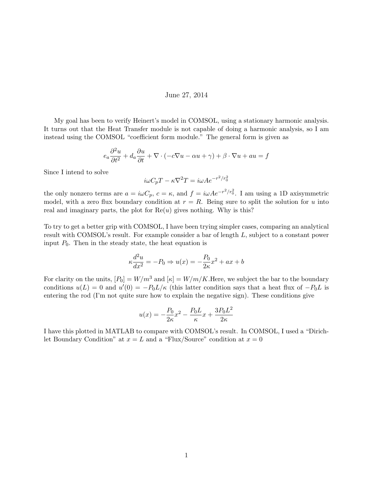## June 27, 2014

My goal has been to verify Heinert's model in COMSOL, using a stationary harmonic analysis. It turns out that the Heat Transfer module is not capable of doing a harmonic analysis, so I am instead using the COMSOL "coefficient form module." The general form is given as

$$
e_a \frac{\partial^2 u}{\partial t^2} + d_a \frac{\partial u}{\partial t} + \nabla \cdot (-c\nabla u - \alpha u + \gamma) + \beta \cdot \nabla u + au = f
$$

Since I intend to solve

$$
i\omega C_p T - \kappa \nabla^2 T = i\omega A e^{-r^2/r_0^2}
$$

the only nonzero terms are  $a = i\omega C_p$ ,  $c = \kappa$ , and  $f = i\omega A e^{-r^2/r_0^2}$ . I am using a 1D axisymmetric model, with a zero flux boundary condition at  $r = R$ . Being sure to split the solution for u into real and imaginary parts, the plot for  $\text{Re}(u)$  gives nothing. Why is this?

To try to get a better grip with COMSOL, I have been trying simpler cases, comparing an analytical result with COMSOL's result. For example consider a bar of length L, subject to a constant power input  $P_0$ . Then in the steady state, the heat equation is

$$
\kappa \frac{d^2 u}{dx^2} = -P_0 \Rightarrow u(x) = -\frac{P_0}{2\kappa}x^2 + ax + b
$$

For clarity on the units,  $[P_0] = W/m^3$  and  $[\kappa] = W/m/K$ . Here, we subject the bar to the boundary conditions  $u(L) = 0$  and  $u'(0) = -P_0L/\kappa$  (this latter condition says that a heat flux of  $-P_0L$  is entering the rod (I'm not quite sure how to explain the negative sign). These conditions give

$$
u(x) = -\frac{P_0}{2\kappa}x^2 - \frac{P_0 L}{\kappa}x + \frac{3P_0 L^2}{2\kappa}
$$

I have this plotted in MATLAB to compare with COMSOL's result. In COMSOL, I used a "Dirichlet Boundary Condition" at  $x = L$  and a "Flux/Source" condition at  $x = 0$